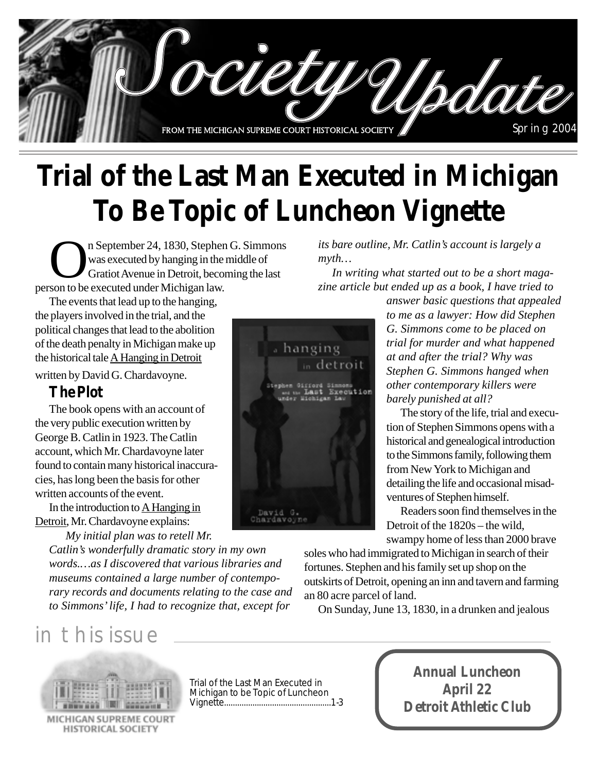

# **Trial of the Last Man Executed in Michigan To Be Topic of Luncheon Vignette**

n September 24, 1830, Stephen G. Simmons was executed by hanging in the middle of Gratiot Avenue in Detroit, becoming the last person to be executed under Michigan law.

The events that lead up to the hanging, the players involved in the trial, and the political changes that lead to the abolition of the death penalty in Michigan make up the historical tale  $\underline{A}$  Hanging in Detroit written by David G. Chardavoyne.

#### **The Plot**

The book opens with an account of the very public execution written by George B. Catlin in 1923. The Catlin account, which Mr. Chardavoyne later found to contain many historical inaccuracies, has long been the basis for other written accounts of the event.

In the introduction to A Hanging in Detroit, Mr. Chardavoyne explains:

 *My initial plan was to retell Mr.*

*Catlin's wonderfully dramatic story in my own words.…as I discovered that various libraries and museums contained a large number of contemporary records and documents relating to the case and to Simmons' life, I had to recognize that, except for*

## in this issue



MICHIGAN SUPREME COURT **HISTORICAL SOCIETY** 

Trial of the Last Man Executed in Michigan to be Topic of Luncheon Vignette.................................................1-3

*its bare outline, Mr. Catlin's account is largely a myth…*

*In writing what started out to be a short magazine article but ended up as a book, I have tried to*

*answer basic questions that appealed to me as a lawyer: How did Stephen G. Simmons come to be placed on trial for murder and what happened at and after the trial? Why was Stephen G. Simmons hanged when other contemporary killers were barely punished at all?*

The story of the life, trial and execution of Stephen Simmons opens with a historical and genealogical introduction to the Simmons family, following them from New York to Michigan and detailing the life and occasional misadventures of Stephen himself.

Readers soon find themselves in the Detroit of the 1820s – the wild, swampy home of less than 2000 brave

soles who had immigrated to Michigan in search of their fortunes. Stephen and his family set up shop on the outskirts of Detroit, opening an inn and tavern and farming an 80 acre parcel of land.

On Sunday, June 13, 1830, in a drunken and jealous



**Annual Luncheon April 22 Detroit Athletic Club**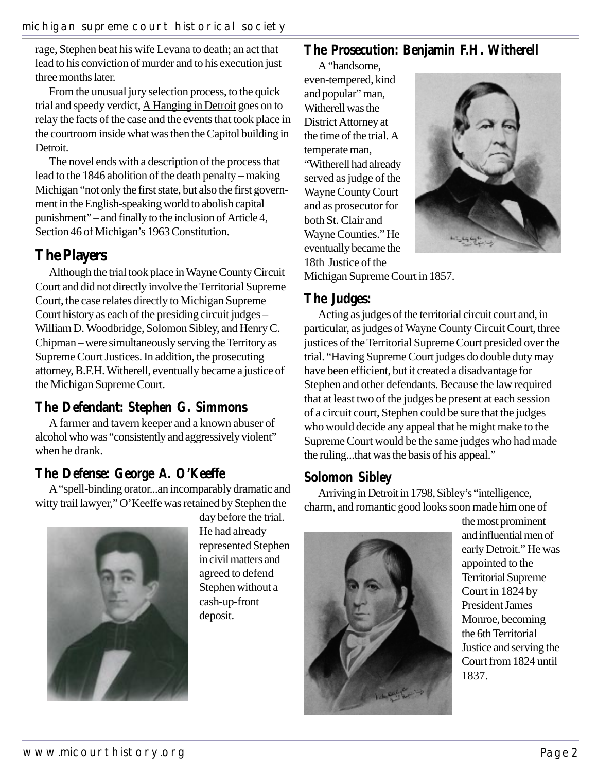rage, Stephen beat his wife Levana to death; an act that lead to his conviction of murder and to his execution just three months later.

From the unusual jury selection process, to the quick trial and speedy verdict, A Hanging in Detroit goes on to relay the facts of the case and the events that took place in the courtroom inside what was then the Capitol building in Detroit.

The novel ends with a description of the process that lead to the 1846 abolition of the death penalty – making Michigan "not only the first state, but also the first government in the English-speaking world to abolish capital punishment" – and finally to the inclusion of Article 4, Section 46 of Michigan's 1963 Constitution.

### **The Players**

Although the trial took place in Wayne County Circuit Court and did not directly involve the Territorial Supreme Court, the case relates directly to Michigan Supreme Court history as each of the presiding circuit judges – William D. Woodbridge, Solomon Sibley, and Henry C. Chipman – were simultaneously serving the Territory as Supreme Court Justices. In addition, the prosecuting attorney, B.F.H. Witherell, eventually became a justice of the Michigan Supreme Court.

#### **The Defendant: Stephen G. Simmons**

A farmer and tavern keeper and a known abuser of alcohol who was "consistently and aggressively violent" when he drank.

#### **The Defense: George A. O'Keeffe**

A "spell-binding orator...an incomparably dramatic and witty trail lawyer," O'Keeffe was retained by Stephen the



day before the trial. He had already represented Stephen in civil matters and agreed to defend Stephen without a cash-up-front deposit.

## **The Prosecution: Benjamin F.H. Witherell**

A "handsome, even-tempered, kind and popular" man, Witherell was the District Attorney at the time of the trial. A temperate man, "Witherell had already served as judge of the Wayne County Court and as prosecutor for both St. Clair and Wayne Counties." He eventually became the 18th Justice of the



Michigan Supreme Court in 1857.

#### **The Judges:**

Acting as judges of the territorial circuit court and, in particular, as judges of Wayne County Circuit Court, three justices of the Territorial Supreme Court presided over the trial. "Having Supreme Court judges do double duty may have been efficient, but it created a disadvantage for Stephen and other defendants. Because the law required that at least two of the judges be present at each session of a circuit court, Stephen could be sure that the judges who would decide any appeal that he might make to the Supreme Court would be the same judges who had made the ruling...that was the basis of his appeal."

#### **Solomon Sibley**

Arriving in Detroit in 1798, Sibley's "intelligence, charm, and romantic good looks soon made him one of



the most prominent and influential men of early Detroit." He was appointed to the Territorial Supreme Court in 1824 by President James Monroe, becoming the 6th Territorial Justice and serving the Court from 1824 until 1837.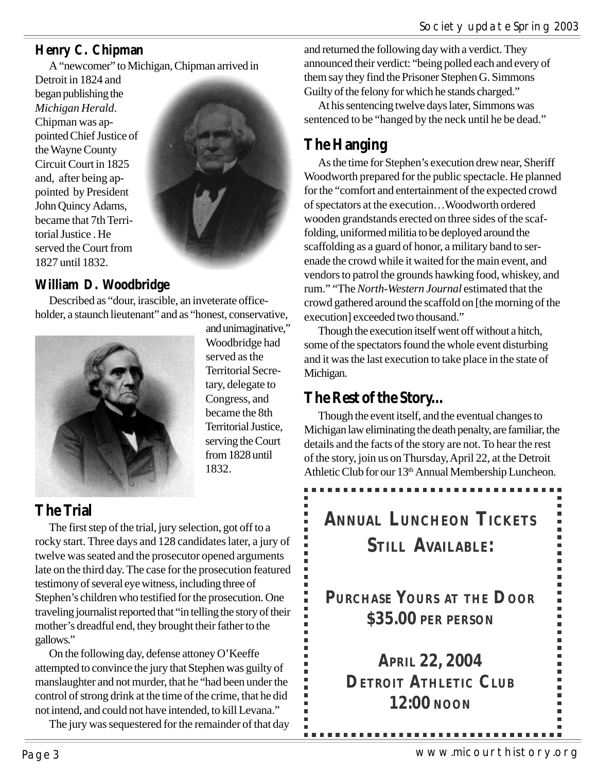## **Henry C. Chipman**

A "newcomer" to Michigan, Chipman arrived in

Detroit in 1824 and began publishing the *Michigan Herald*. Chipman was appointed Chief Justice of the Wayne County Circuit Court in 1825 and, after being appointed by President John Quincy Adams, became that 7th Territorial Justice . He served the Court from 1827 until 1832.



## **William D. Woodbridge**

Described as "dour, irascible, an inveterate officeholder, a staunch lieutenant" and as "honest, conservative,



and unimaginative," Woodbridge had served as the Territorial Secretary, delegate to Congress, and became the 8th Territorial Justice, serving the Court from 1828 until 1832.

## **The Trial**

The first step of the trial, jury selection, got off to a rocky start. Three days and 128 candidates later, a jury of twelve was seated and the prosecutor opened arguments late on the third day. The case for the prosecution featured testimony of several eye witness, including three of Stephen's children who testified for the prosecution. One traveling journalist reported that "in telling the story of their mother's dreadful end, they brought their father to the gallows."

On the following day, defense attoney O'Keeffe attempted to convince the jury that Stephen was guilty of manslaughter and not murder, that he "had been under the control of strong drink at the time of the crime, that he did not intend, and could not have intended, to kill Levana."

The jury was sequestered for the remainder of that day

and returned the following day with a verdict. They announced their verdict: "being polled each and every of them say they find the Prisoner Stephen G. Simmons Guilty of the felony for which he stands charged."

At his sentencing twelve days later, Simmons was sentenced to be "hanged by the neck until he be dead."

## **The Hanging**

As the time for Stephen's execution drew near, Sheriff Woodworth prepared for the public spectacle. He planned for the "comfort and entertainment of the expected crowd of spectators at the execution…Woodworth ordered wooden grandstands erected on three sides of the scaffolding, uniformed militia to be deployed around the scaffolding as a guard of honor, a military band to serenade the crowd while it waited for the main event, and vendors to patrol the grounds hawking food, whiskey, and rum." "The *North-Western Journal* estimated that the crowd gathered around the scaffold on [the morning of the execution] exceeded two thousand."

Though the execution itself went off without a hitch, some of the spectators found the whole event disturbing and it was the last execution to take place in the state of Michigan.

## **The Rest of the Story...**

Though the event itself, and the eventual changes to Michigan law eliminating the death penalty, are familiar, the details and the facts of the story are not. To hear the rest of the story, join us on Thursday, April 22, at the Detroit Athletic Club for our 13<sup>th</sup> Annual Membership Luncheon.

# **ANNUAL LUNCHEON TICKETS STILL AVAILABLE:**

**PURCHASE YOURS AT THE DOOR \$35.00 PER PERSON**

**APRIL 22, 2004 DETROIT ATHLETIC CLUB 12:00 NOON**

----------------------------